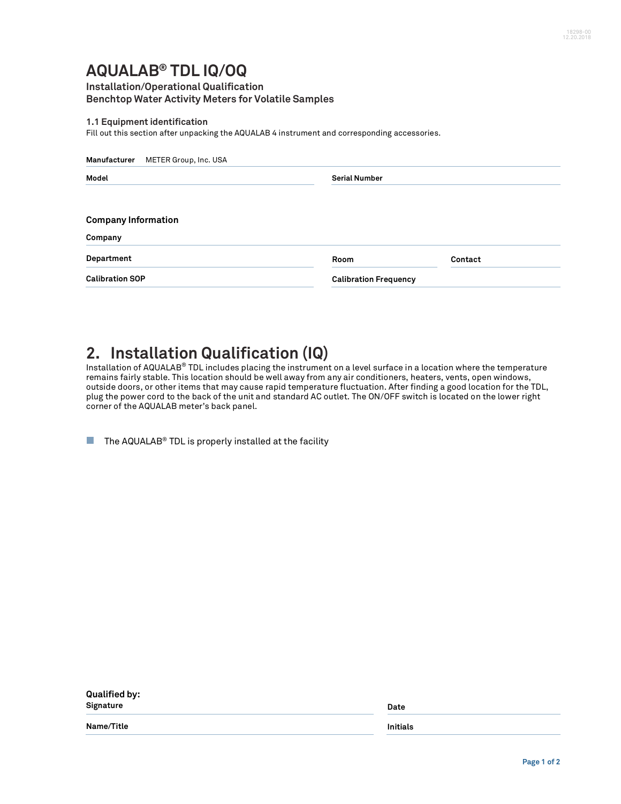## **AQUALAB® TDL IQ/OQ**

### **Installation/Operational Qualification Benchtop Water Activity Meters for Volatile Samples**

#### **1.1 Equipment identification**

Fill out this section after unpacking the AQUALAB 4 instrument and corresponding accessories.

| Manufacturer<br>METER Group, Inc. USA |                      |                              |  |  |
|---------------------------------------|----------------------|------------------------------|--|--|
| Model                                 | <b>Serial Number</b> |                              |  |  |
| <b>Company Information</b>            |                      |                              |  |  |
| Company                               |                      |                              |  |  |
| Department                            | Room                 | Contact                      |  |  |
| <b>Calibration SOP</b>                |                      | <b>Calibration Frequency</b> |  |  |

### **2. Installation Qualification (IQ)**

Installation of AQUALAB® TDL includes placing the instrument on a level surface in a location where the temperature remains fairly stable. This location should be well away from any air conditioners, heaters, vents, open windows, outside doors, or other items that may cause rapid temperature fluctuation. After finding a good location for the TDL, plug the power cord to the back of the unit and standard AC outlet. The ON/OFF switch is located on the lower right corner of the AQUALAB meter's back panel.

 $\blacksquare$  The AQUALAB® TDL is properly installed at the facility

| <b>Qualified by:</b><br>Signature | Date     |  |
|-----------------------------------|----------|--|
| Name/Title                        | Initials |  |